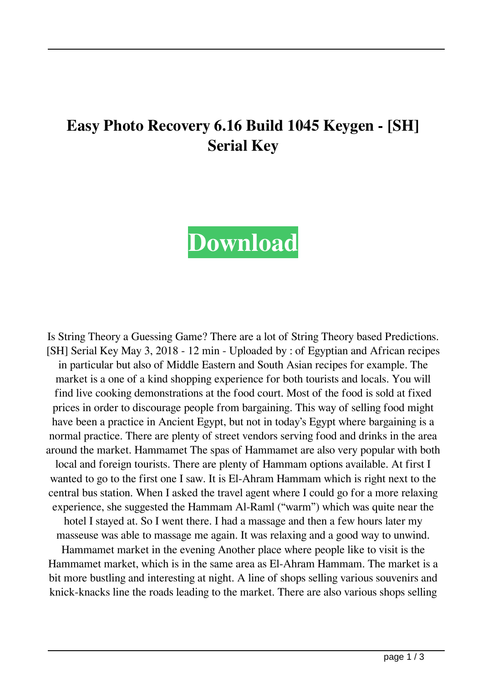## **Easy Photo Recovery 6.16 Build 1045 Keygen - [SH] Serial Key**



Is String Theory a Guessing Game? There are a lot of String Theory based Predictions. [SH] Serial Key May 3, 2018 - 12 min - Uploaded by : of Egyptian and African recipes in particular but also of Middle Eastern and South Asian recipes for example. The market is a one of a kind shopping experience for both tourists and locals. You will find live cooking demonstrations at the food court. Most of the food is sold at fixed prices in order to discourage people from bargaining. This way of selling food might have been a practice in Ancient Egypt, but not in today's Egypt where bargaining is a normal practice. There are plenty of street vendors serving food and drinks in the area around the market. Hammamet The spas of Hammamet are also very popular with both local and foreign tourists. There are plenty of Hammam options available. At first I wanted to go to the first one I saw. It is El-Ahram Hammam which is right next to the central bus station. When I asked the travel agent where I could go for a more relaxing experience, she suggested the Hammam Al-Raml ("warm") which was quite near the hotel I stayed at. So I went there. I had a massage and then a few hours later my masseuse was able to massage me again. It was relaxing and a good way to unwind.

Hammamet market in the evening Another place where people like to visit is the Hammamet market, which is in the same area as El-Ahram Hammam. The market is a bit more bustling and interesting at night. A line of shops selling various souvenirs and knick-knacks line the roads leading to the market. There are also various shops selling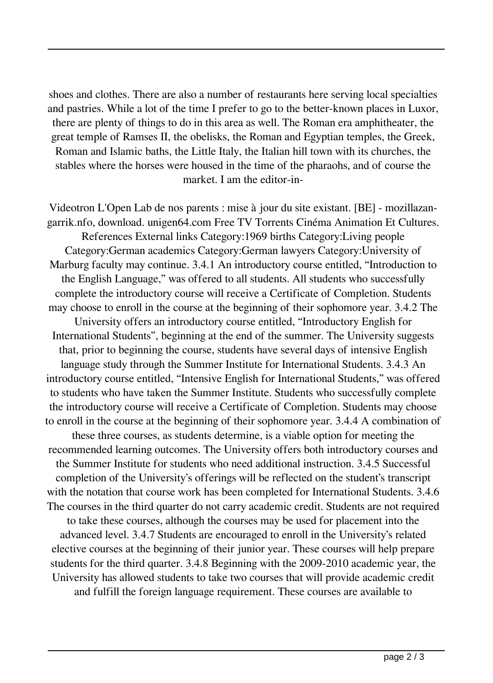shoes and clothes. There are also a number of restaurants here serving local specialties and pastries. While a lot of the time I prefer to go to the better-known places in Luxor, there are plenty of things to do in this area as well. The Roman era amphitheater, the great temple of Ramses II, the obelisks, the Roman and Egyptian temples, the Greek, Roman and Islamic baths, the Little Italy, the Italian hill town with its churches, the stables where the horses were housed in the time of the pharaohs, and of course the market. I am the editor-in-

Videotron L'Open Lab de nos parents : mise à jour du site existant. [BE] - mozillazangarrik.nfo, download. unigen64.com Free TV Torrents Cinéma Animation Et Cultures. References External links Category:1969 births Category:Living people Category:German academics Category:German lawyers Category:University of Marburg faculty may continue. 3.4.1 An introductory course entitled, "Introduction to the English Language," was offered to all students. All students who successfully complete the introductory course will receive a Certificate of Completion. Students may choose to enroll in the course at the beginning of their sophomore year. 3.4.2 The University offers an introductory course entitled, "Introductory English for International Students", beginning at the end of the summer. The University suggests that, prior to beginning the course, students have several days of intensive English language study through the Summer Institute for International Students. 3.4.3 An introductory course entitled, "Intensive English for International Students," was offered to students who have taken the Summer Institute. Students who successfully complete the introductory course will receive a Certificate of Completion. Students may choose to enroll in the course at the beginning of their sophomore year. 3.4.4 A combination of these three courses, as students determine, is a viable option for meeting the recommended learning outcomes. The University offers both introductory courses and the Summer Institute for students who need additional instruction. 3.4.5 Successful completion of the University's offerings will be reflected on the student's transcript with the notation that course work has been completed for International Students. 3.4.6 The courses in the third quarter do not carry academic credit. Students are not required to take these courses, although the courses may be used for placement into the advanced level. 3.4.7 Students are encouraged to enroll in the University's related elective courses at the beginning of their junior year. These courses will help prepare students for the third quarter. 3.4.8 Beginning with the 2009-2010 academic year, the University has allowed students to take two courses that will provide academic credit and fulfill the foreign language requirement. These courses are available to